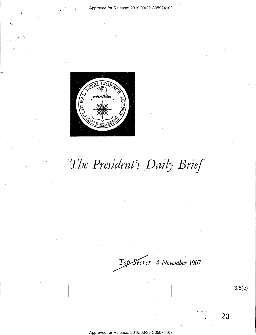

# The President's Daily Brief

Top-Secret 4 November 1967

 $3.5(c)$ 

23

Approved for Release: 2019/03/29 C059 4103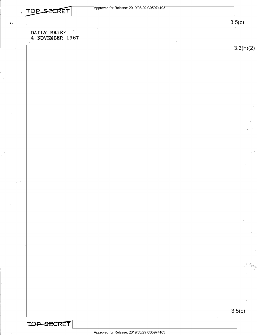$3.5(c)$ 

 $3.3(h)(2)$ 

#### DAILY BRIEF 4 NOVEMBER 1967

**IOP-SECRET** 

 $3.5(c)$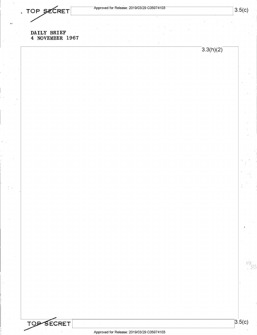. TOP SECRET

#### DAILY BRIEF 4 NOVEMBER 1967

 $3.3(h)(2)$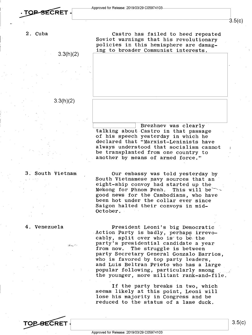3.3(h)(2)

3.3(h)(2)

Castro has failed to heed repeated<br>Soviet warnings that his revolutionary policies in this hemisphere are damaging to broader Communist interests.

Brezhnev was clearly<br>
talking about Castro in that passage<br>
of his speech yesterday in which he declared that "Marxist-Leninists have always understood that socialism cannot be transplanted from one country to another by means of armed force."

#### 3. South Vietnam

Our embassy was told yesterday by South Vietnamese navy sources that an ' eight-ship convoy had started up the Mekong for Phnom Penh. This will be  $\sim$  good news for the Cambodians, who have been hot under the collar ever since<br>Saigon halted their convoys in mid-<br>October.

#### 4. Venezuela

idakatin

President Leoni's big Democratic ' Action Party is badly, perhaps irrevo-<br>cably, split over who is to be the party's presidential candidate a year<br>from now. The struggle is between<br>party Secretary General Gonzalo Barrios, who is favored by top party leaders,<br>and Luis Beltran Prieto who has a large<br>popular following, particularly among the younger, more militant rank-and-file

If the party breaks in two, which<br>seems likely at this point, Leoni will<br>lose his majority in Congress and be reduced to the status of a lame duck.

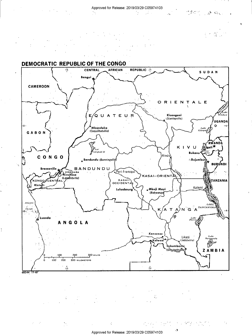#### Approved for Release: 2019/03/29 C05974103

 $\sim 10^{11}$  $\mathcal{O}_{\mathcal{M}_{\mathcal{O}}}$  $\sim 10^{-1}$ 

ಿ ಚಿತ್ರಗಳಲ್ಲಿ ಮ



#### **DEMOCRATIC REPUBLIC OF THE CONGO**



÷

÷.

 $\mathcal{O}(\mathcal{O}_\mathcal{A})$  , where  $\mathcal{O}_\mathcal{A}$ 

 $\bullet$ 

÷,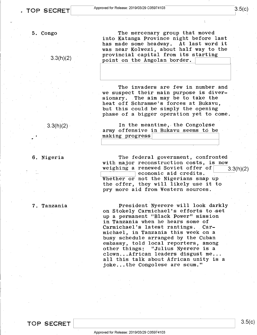m

5. Congo

 $3.3(h)(2)$ 

 $3.3(h)(2)$ 

6. Nigeria

7. Tanzania

 $\cdot$ <sup>'</sup>

The mercenary group that moved into Katanga Province night before last has made some headway. At last word it was near Kolwezi, about half way to the provincial capital from its starting point on the Angolan border.

The invaders are few in number and we suspect their main purpose is diver sionary. The aim may be to take the heat off Schramme's forces at Bukavu,<br>but this could be simply the opening phase of a bigger operation yet to come.

In the meantime, the Congolese army offensive in Bukavu seems to be making progress

The federal government, confronted with major reconstruction costs, is now weighing a renewed Soviet offer of  $\frac{3.3(h)(2)}{2}$ Whether or not the Nigerians snap up the offer, they will likely use it to pry more aid from Western sources.

.President Nyerere will look darkly on Stokely Carmichael's efforts to set up a permanent "Black Power" mission in Tanzania when he hears some of Carmichael's latest rantings. Carmichael, in Tanzania this week on a busy schedule arranged by the Cuban embassy, told local reporters, among other things: "Julius Nyerere is a clown...African leaders disgust me... all this talk about African unity is a joke...the Congolese are scum."

TOP SECRET  $\begin{array}{|c|c|c|c|c|}\hline \ \end{array} \qquad \qquad \begin{array}{c|c|c|c} \text{3.5(c)} \end{array}$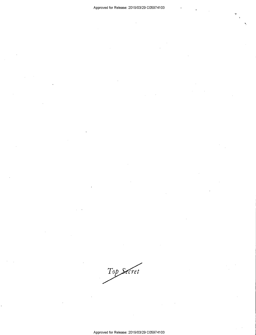Top Secret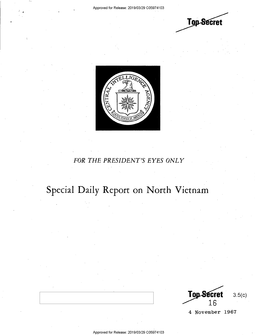



#### FOR THE PRESIDENT'S EYES ONLY

## Special Daily Report on North Vietnam

 $3.5(c)$ Top Secret<br>16

4 November 1967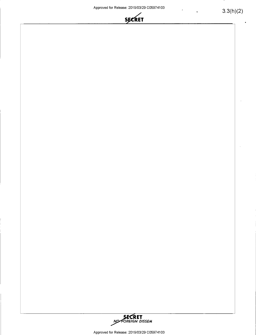

 $\overline{\phantom{a}}$ 



Approved for Release: 2019/03/29 C05974103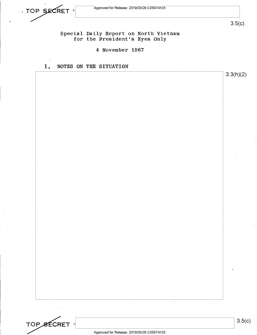



 $\sim$  s.5(c)

3.3(h)(2)

#### Special Daily Report on North Vietnam for the President's Eyes Only

#### 4 November 1967

#### I. NOTES ON THE SITUATION

| Approved for Pelegee: 2019/03/29 CO5974103 |  |
|--------------------------------------------|--|
|                                            |  |
|                                            |  |

 $\frac{1}{2}$  ,  $\frac{1}{2}$  ,  $\frac{1}{2}$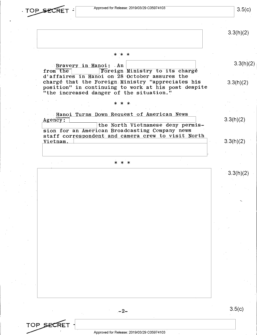TOP SECRET : Approved for Release: 2019/03/29 C05974103

TOP SECRE

 $3.5(c)$ 

 $3.3(h)(2)$ 

 $3.3(h)(2)$ 

 $3.3(h)(2)$ 

 $3.3(h)(2)$ 

 $3.3(h)(2)$ 

### .\*'\* \*

Exavery in Hanoi: An from the Foreign from the Foreign Ministry to its charge<br>d'affaires in Hanoi on 28 October assures the chargé that the Foreign Ministry "appreciates his position" in continuing to work at his post despite "the increased danger of the situation."

#### $* * *$

Hanoi Turns Down Request of American News<br>Agency: Agency: 2008 and 2008 and 2008 and 2008 and 2008 and 2008 and 2008 and 2008 and 2008 and 2008 and 2008 and 200 \ \the North Vietnamese deny permission for an American Broadcasting Company news staff correspondent and camera crew to visit North Vietnam.

#### - \* \* \*

 $3.3(h)(2)$ 

 $\overline{\phantom{a}}$ 

 $-2-$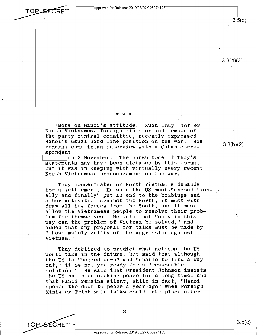$\overline{C}$   $\overline{C}$   $\overline{R}$   $\overline{C}$  $\overline{R}$   $\overline{C}$   $\overline{R}$   $\overline{C}$   $\overline{R}$   $\overline{C}$   $\overline{R}$   $\overline{C}$   $\overline{R}$   $\overline{C}$   $\overline{R}$   $\overline{C}$   $\overline{R}$   $\overline{C}$   $\overline{R}$   $\overline{C}$   $\overline{R}$   $\overline{C}$   $\overline{R}$   $\overline{C}$   $\overline{R$ 

 $3.5(c)$ 

 $3.3(h)(2)$ 

#### \* \* \* . <sup>1</sup>

More on Hanoi's Attitude: Yuan Thuy, former<br>North Vietnamese foreign minister and member of<br>the party central committee, recently expressed Hanoi's usual hard line position on the war. His remarks came in an interview with a Cuban corre-  $3.3(h)(2)$ <br>spondent

spondent<br>
on 2 November, The harsh tone of Thuy's<br>
statements may be above distanted by this feaum statements may have been dictated by this forum, but it was in keeping with virtually every recent North Vietnamese pronouncement on the war.

Thuy concentrated on North Vietnam's demands<br>for a settlement. He said the US must "uncondit for a settlement. He said the US must "unconditionally and finally" put an end to the bombings and other activities against the North, it must withdraw all its forces from the South, and it must allow-the Vietnamese people to resolve their problem for themselves. He said that "only in this way can the problem of Vietnam be solved," and<br>added that any proposal for talks must be made by "those mainly guilty of the aggression against Vietnam."

Thuy declined to predict what actions the US would take in the future, but said that although the US is "bogged down" and "unable to find a way out," it is not yet ready for a "reasonable solution." He said that President Johnson insists the US has been seeking peace for a long time, and that Hanoi remains silent, while in fact, "Hanoi ' opened the door to peace a year ago" when Foreign Minister Trinh said talks could take place after

TOP SECRET- $3.5(c)$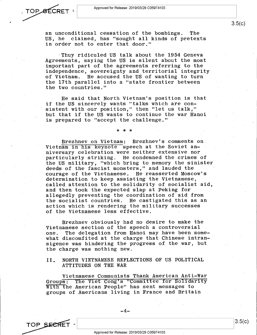

an unconditional cessation of the bombings. The US, he claimed, has "sought all kinds of pretexts in order not to enter that door."

 $\cdot$ Thuy ridiculed US talk about the 1954 Geneva Agreements, saying the US is silent about the most important part of the agreements referring to-the independence, sovereignty and territorial integrity of Vietnam. He accused the US of wanting to turn the l7th parallel into a "state frontier between the two countries,"

'He said that North Vietnam's position is that if the US sincerely wants "talks which are consistent with our position," then "let us talk," but that if the US wants to continue the war Hanoi is prepared to "accept the challenge."

#### \* \* \* -

Brezhnev on Vietnam: Brezhnev's comments on Vietnam in his keynote speech at the Soviet anniversary celebration were neither extensive nor particularly striking. He condemned the crimes of the US military, "which bring to memory the sinister deeds of the fascist monsters," and lauded the courage of the Vietnamese. He reasserted Moscow's determination to keep assisting the Vietnamese, called attention to the solidarity of socialist aid, and then took the expected slap at Peking for allegedly preventing the coordination of aid from the socialist countries. He castigated this as an action which is rendering the military successes of the Vietnamese less effective.

Brezhnev obviously had no desire to make the Vietnamese section of the speech a controversial one. The delegation from Hanoi may have been somewhat discomfited at the charge that Chinese intransigence was hindering the progress of the war, but the charge was nothing new.

#### II. NORTH.VIETNAMESE REFLECTIONS OF US POLITICAL ATTITUDES ON THE WAR

Vietnamese Communists Thank American Anti-War<br>Groups: The Viet Cong's "Committee for Solidarity With the American People" has sent messages to groups of Americans living in France and Britain

TOP SECRET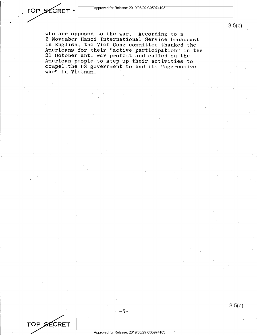who are opposed to the war. According to a 2 November Hanoi International Service broadcast<br>in English, the Viet Cong committee thanked the In English, the Viet Congression Congression Congression and Congress and Called on the Americans for their "active participation" in the American people to step up their activities to compel the US government to end its "aggressive war" in. Vietnam.

 $. -5 -$ 

TOP SECRET